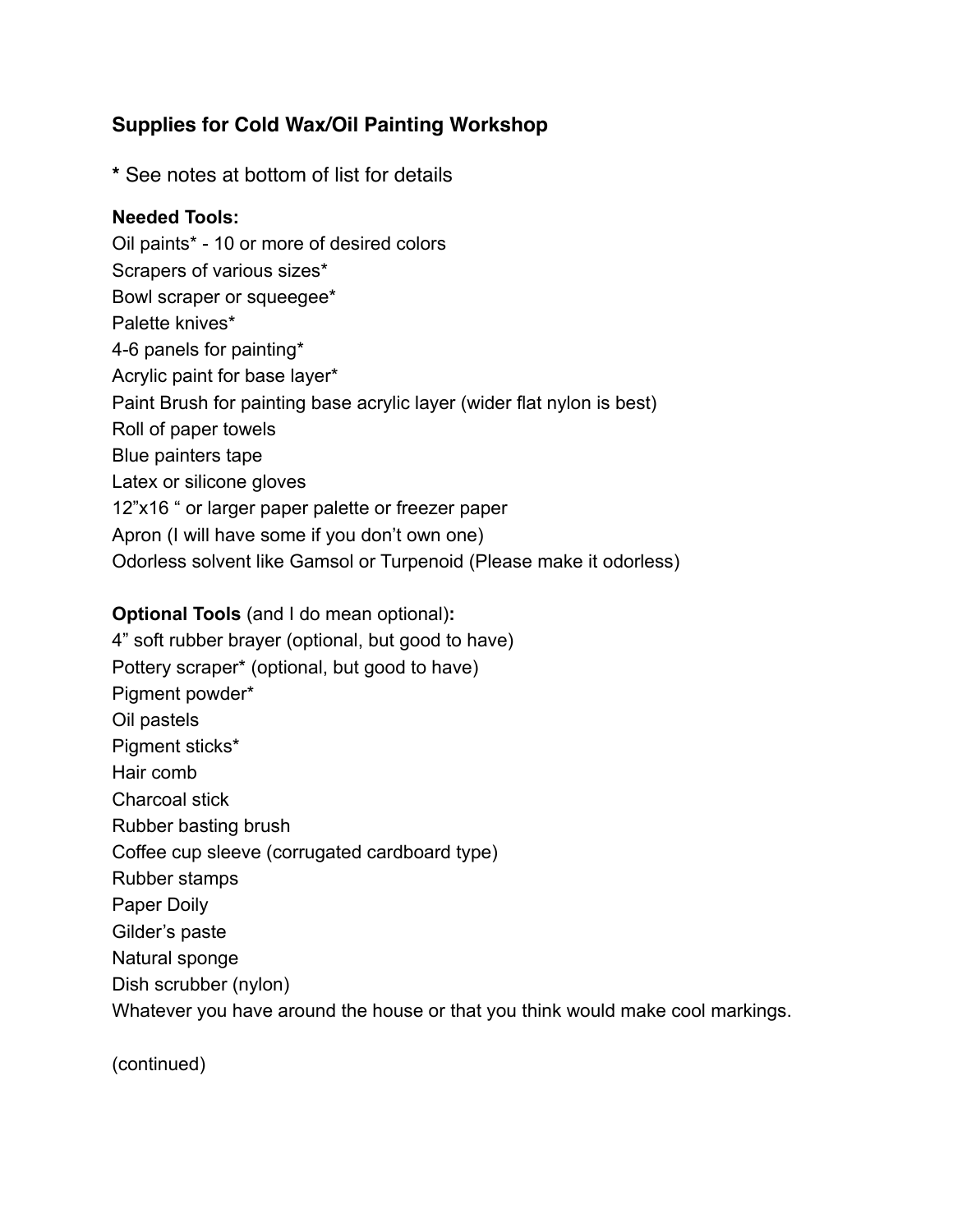# **Supplies for Cold Wax/Oil Painting Workshop**

**\*** See notes at bottom of list for details

## **Needed Tools:**

Oil paints\* - 10 or more of desired colors Scrapers of various sizes\* Bowl scraper or squeegee\* Palette knives\* 4-6 panels for painting\* Acrylic paint for base layer\* Paint Brush for painting base acrylic layer (wider flat nylon is best) Roll of paper towels Blue painters tape Latex or silicone gloves 12"x16 " or larger paper palette or freezer paper Apron (I will have some if you don't own one) Odorless solvent like Gamsol or Turpenoid (Please make it odorless)

### **Optional Tools** (and I do mean optional)**:**

4" soft rubber brayer (optional, but good to have) Pottery scraper\* (optional, but good to have) Pigment powder\* Oil pastels Pigment sticks\* Hair comb Charcoal stick Rubber basting brush Coffee cup sleeve (corrugated cardboard type) Rubber stamps Paper Doily Gilder's paste Natural sponge Dish scrubber (nylon) Whatever you have around the house or that you think would make cool markings.

(continued)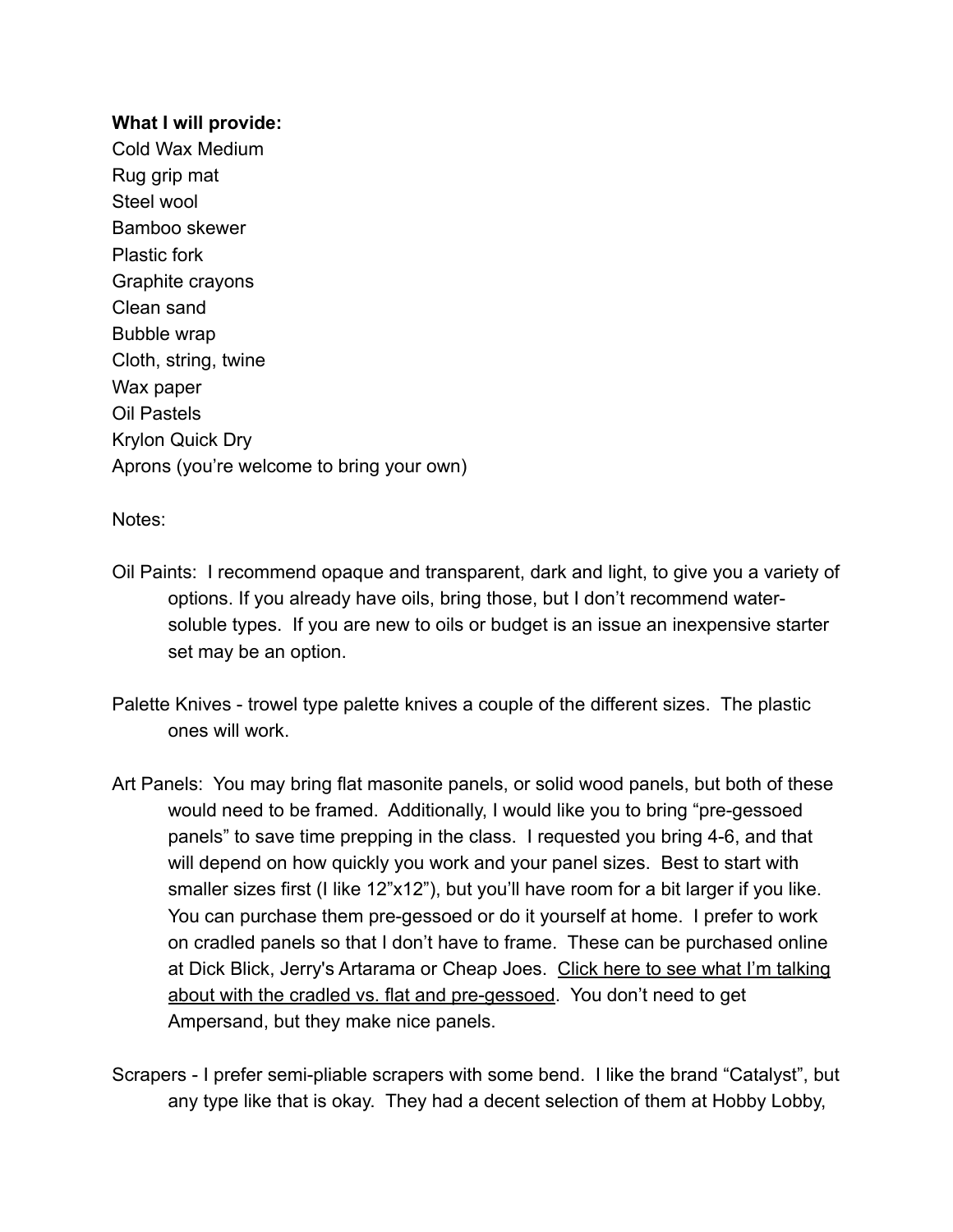#### **What I will provide:**

Cold Wax Medium Rug grip mat Steel wool Bamboo skewer Plastic fork Graphite crayons Clean sand Bubble wrap Cloth, string, twine Wax paper Oil Pastels Krylon Quick Dry Aprons (you're welcome to bring your own)

### Notes:

- Oil Paints: I recommend opaque and transparent, dark and light, to give you a variety of options. If you already have oils, bring those, but I don't recommend watersoluble types. If you are new to oils or budget is an issue an inexpensive starter set may be an option.
- Palette Knives trowel type palette knives a couple of the different sizes. The plastic ones will work.
- Art Panels: You may bring flat masonite panels, or solid wood panels, but both of these would need to be framed. Additionally, I would like you to bring "pre-gessoed panels" to save time prepping in the class. I requested you bring 4-6, and that will depend on how quickly you work and your panel sizes. Best to start with smaller sizes first (I like 12"x12"), but you'll have room for a bit larger if you like. You can purchase them pre-gessoed or do it yourself at home. I prefer to work on cradled panels so that I don't have to frame. These can be purchased online [at Dick Blick, Jerry's Artarama or Cheap Joes. Click here to see what I'm talking](https://www.amazon.com/Ampersand-Gessobord-Inch-Cradle-12X12/dp/B0027A76WQ/ref=sr_1_13?s=arts-crafts&ie=UTF8&qid=1487273572&sr=1-13&keywords=art+panels)  about with the cradled vs. flat and pre-gessoed. You don't need to get Ampersand, but they make nice panels.
- Scrapers I prefer semi-pliable scrapers with some bend. I like the brand "Catalyst", but any type like that is okay. They had a decent selection of them at Hobby Lobby,